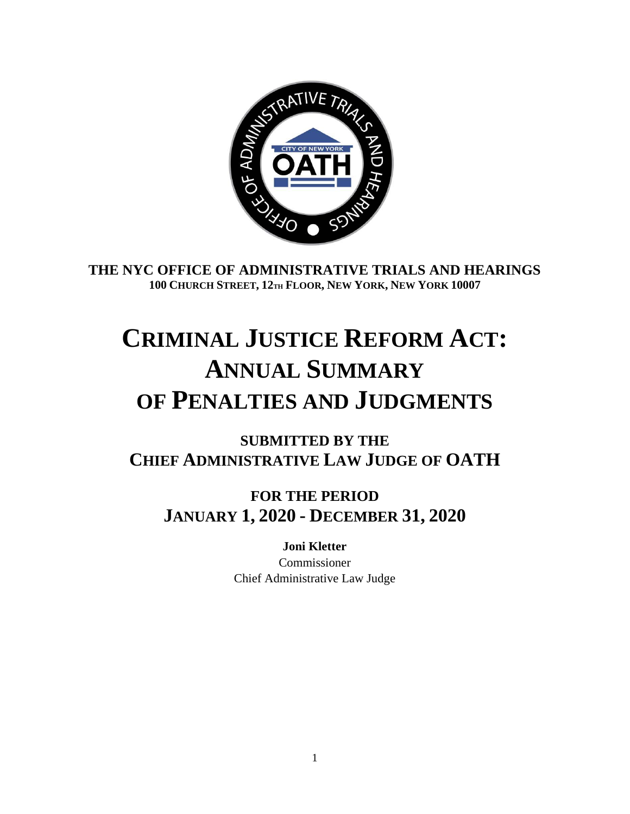

**THE NYC OFFICE OF ADMINISTRATIVE TRIALS AND HEARINGS 100 CHURCH STREET, 12TH FLOOR, NEW YORK, NEW YORK 10007**

## **CRIMINAL JUSTICE REFORM ACT: ANNUAL SUMMARY OF PENALTIES AND JUDGMENTS**

**SUBMITTED BY THE CHIEF ADMINISTRATIVE LAW JUDGE OF OATH**

**FOR THE PERIOD JANUARY 1, 2020 - DECEMBER 31, 2020**

> **Joni Kletter** Commissioner Chief Administrative Law Judge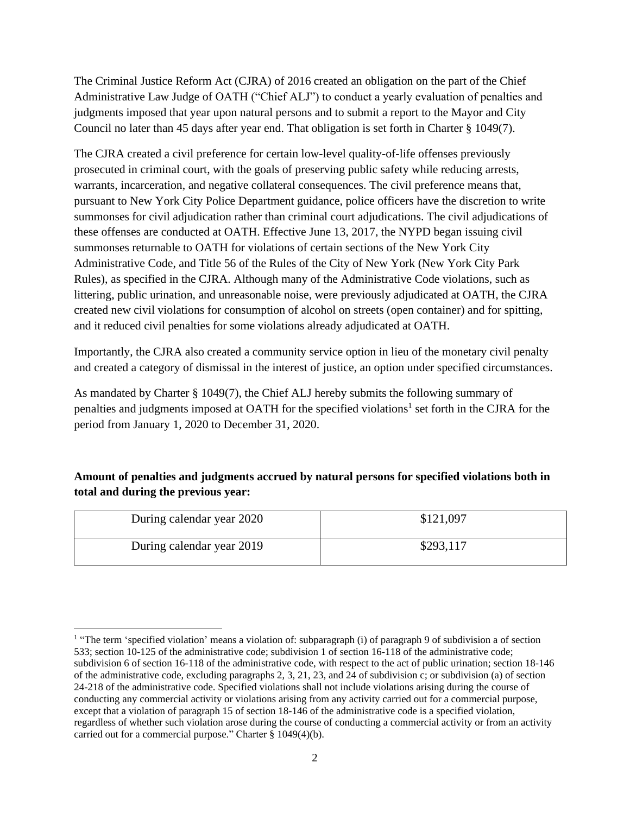The Criminal Justice Reform Act (CJRA) of 2016 created an obligation on the part of the Chief Administrative Law Judge of OATH ("Chief ALJ") to conduct a yearly evaluation of penalties and judgments imposed that year upon natural persons and to submit a report to the Mayor and City Council no later than 45 days after year end. That obligation is set forth in Charter § 1049(7).

The CJRA created a civil preference for certain low-level quality-of-life offenses previously prosecuted in criminal court, with the goals of preserving public safety while reducing arrests, warrants, incarceration, and negative collateral consequences. The civil preference means that, pursuant to New York City Police Department guidance, police officers have the discretion to write summonses for civil adjudication rather than criminal court adjudications. The civil adjudications of these offenses are conducted at OATH. Effective June 13, 2017, the NYPD began issuing civil summonses returnable to OATH for violations of certain sections of the New York City Administrative Code, and Title 56 of the Rules of the City of New York (New York City Park Rules), as specified in the CJRA. Although many of the Administrative Code violations, such as littering, public urination, and unreasonable noise, were previously adjudicated at OATH, the CJRA created new civil violations for consumption of alcohol on streets (open container) and for spitting, and it reduced civil penalties for some violations already adjudicated at OATH.

Importantly, the CJRA also created a community service option in lieu of the monetary civil penalty and created a category of dismissal in the interest of justice, an option under specified circumstances.

As mandated by Charter § 1049(7), the Chief ALJ hereby submits the following summary of penalties and judgments imposed at OATH for the specified violations<sup>1</sup> set forth in the CJRA for the period from January 1, 2020 to December 31, 2020.

## **Amount of penalties and judgments accrued by natural persons for specified violations both in total and during the previous year:**

| During calendar year 2020 | \$121,097 |
|---------------------------|-----------|
| During calendar year 2019 | \$293,117 |

<sup>&</sup>lt;sup>1</sup> "The term 'specified violation' means a violation of: subparagraph (i) of paragraph 9 of subdivision a of section 533; section 10-125 of the administrative code; subdivision 1 of section 16-118 of the administrative code; subdivision 6 of section 16-118 of the administrative code, with respect to the act of public urination; section 18-146 of the administrative code, excluding paragraphs 2, 3, 21, 23, and 24 of subdivision c; or subdivision (a) of section 24-218 of the administrative code. Specified violations shall not include violations arising during the course of conducting any commercial activity or violations arising from any activity carried out for a commercial purpose, except that a violation of paragraph 15 of section 18-146 of the administrative code is a specified violation, regardless of whether such violation arose during the course of conducting a commercial activity or from an activity carried out for a commercial purpose." Charter § 1049(4)(b).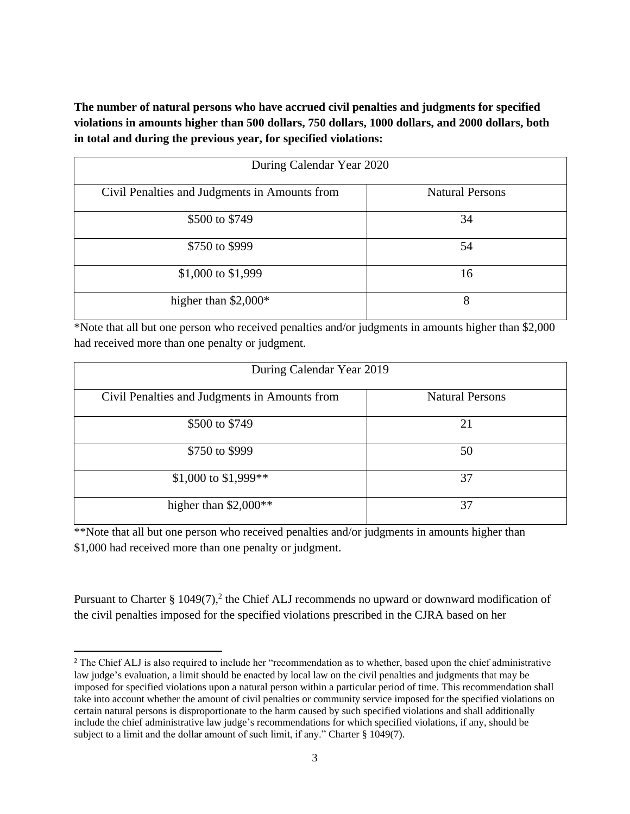**The number of natural persons who have accrued civil penalties and judgments for specified violations in amounts higher than 500 dollars, 750 dollars, 1000 dollars, and 2000 dollars, both in total and during the previous year, for specified violations:**

| During Calendar Year 2020                     |                        |  |
|-----------------------------------------------|------------------------|--|
| Civil Penalties and Judgments in Amounts from | <b>Natural Persons</b> |  |
| \$500 to \$749                                | 34                     |  |
| \$750 to \$999                                | 54                     |  |
| \$1,000 to \$1,999                            | 16                     |  |
| higher than $$2,000*$                         | 8                      |  |

\*Note that all but one person who received penalties and/or judgments in amounts higher than \$2,000 had received more than one penalty or judgment.

| During Calendar Year 2019                     |                        |  |
|-----------------------------------------------|------------------------|--|
| Civil Penalties and Judgments in Amounts from | <b>Natural Persons</b> |  |
| \$500 to \$749                                | 21                     |  |
| \$750 to \$999                                | 50                     |  |
| \$1,000 to \$1,999**                          | 37                     |  |
| higher than $$2,000**$                        | 37                     |  |

\*\*Note that all but one person who received penalties and/or judgments in amounts higher than \$1,000 had received more than one penalty or judgment.

Pursuant to Charter § 1049 $(7)$ ,<sup>2</sup> the Chief ALJ recommends no upward or downward modification of the civil penalties imposed for the specified violations prescribed in the CJRA based on her

<sup>&</sup>lt;sup>2</sup> The Chief ALJ is also required to include her "recommendation as to whether, based upon the chief administrative law judge's evaluation, a limit should be enacted by local law on the civil penalties and judgments that may be imposed for specified violations upon a natural person within a particular period of time. This recommendation shall take into account whether the amount of civil penalties or community service imposed for the specified violations on certain natural persons is disproportionate to the harm caused by such specified violations and shall additionally include the chief administrative law judge's recommendations for which specified violations, if any, should be subject to a limit and the dollar amount of such limit, if any." Charter § 1049(7).